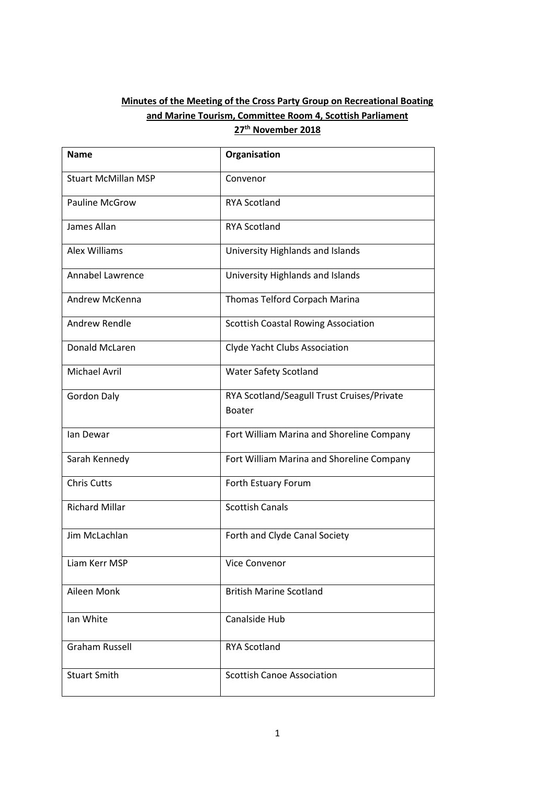# **Minutes of the Meeting of the Cross Party Group on Recreational Boating and Marine Tourism, Committee Room 4, Scottish Parliament 27th November 2018**

| <b>Name</b>                | Organisation                               |  |  |
|----------------------------|--------------------------------------------|--|--|
| <b>Stuart McMillan MSP</b> | Convenor                                   |  |  |
| <b>Pauline McGrow</b>      | <b>RYA Scotland</b>                        |  |  |
| James Allan                | <b>RYA Scotland</b>                        |  |  |
| Alex Williams              | University Highlands and Islands           |  |  |
| Annabel Lawrence           | University Highlands and Islands           |  |  |
| Andrew McKenna             | Thomas Telford Corpach Marina              |  |  |
| Andrew Rendle              | <b>Scottish Coastal Rowing Association</b> |  |  |
| Donald McLaren             | Clyde Yacht Clubs Association              |  |  |
| <b>Michael Avril</b>       | Water Safety Scotland                      |  |  |
| <b>Gordon Daly</b>         | RYA Scotland/Seagull Trust Cruises/Private |  |  |
|                            | <b>Boater</b>                              |  |  |
| lan Dewar                  | Fort William Marina and Shoreline Company  |  |  |
| Sarah Kennedy              | Fort William Marina and Shoreline Company  |  |  |
| <b>Chris Cutts</b>         | Forth Estuary Forum                        |  |  |
| <b>Richard Millar</b>      | <b>Scottish Canals</b>                     |  |  |
| Jim McLachlan              | Forth and Clyde Canal Society              |  |  |
| Liam Kerr MSP              | Vice Convenor                              |  |  |
| Aileen Monk                | <b>British Marine Scotland</b>             |  |  |
| Ian White                  | Canalside Hub                              |  |  |
| <b>Graham Russell</b>      | <b>RYA Scotland</b>                        |  |  |
| <b>Stuart Smith</b>        | <b>Scottish Canoe Association</b>          |  |  |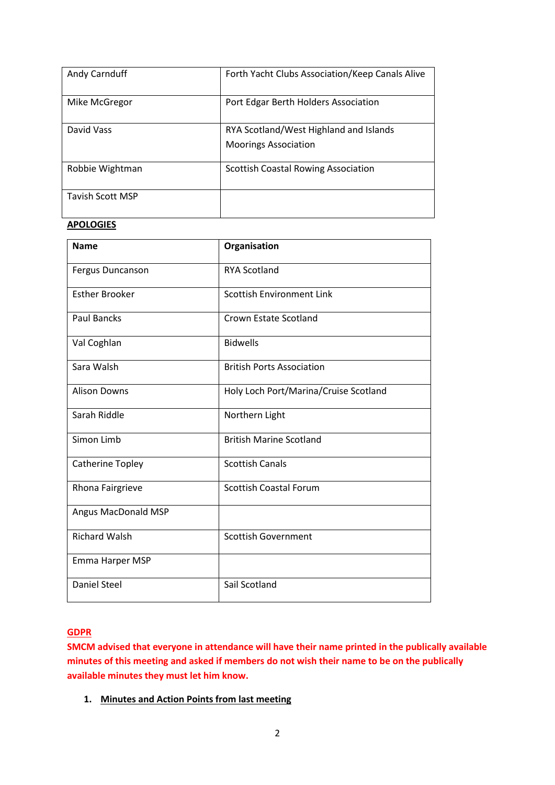| Andy Carnduff           | Forth Yacht Clubs Association/Keep Canals Alive                       |  |  |
|-------------------------|-----------------------------------------------------------------------|--|--|
| Mike McGregor           | Port Edgar Berth Holders Association                                  |  |  |
| David Vass              | RYA Scotland/West Highland and Islands<br><b>Moorings Association</b> |  |  |
| Robbie Wightman         | <b>Scottish Coastal Rowing Association</b>                            |  |  |
| <b>Tavish Scott MSP</b> |                                                                       |  |  |

# **APOLOGIES**

| <b>Name</b>           | Organisation                          |
|-----------------------|---------------------------------------|
| Fergus Duncanson      | <b>RYA Scotland</b>                   |
| <b>Esther Brooker</b> | <b>Scottish Environment Link</b>      |
| <b>Paul Bancks</b>    | Crown Estate Scotland                 |
| Val Coghlan           | <b>Bidwells</b>                       |
| Sara Walsh            | <b>British Ports Association</b>      |
| <b>Alison Downs</b>   | Holy Loch Port/Marina/Cruise Scotland |
| Sarah Riddle          | Northern Light                        |
| Simon Limb            | <b>British Marine Scotland</b>        |
| Catherine Topley      | <b>Scottish Canals</b>                |
| Rhona Fairgrieve      | <b>Scottish Coastal Forum</b>         |
| Angus MacDonald MSP   |                                       |
| <b>Richard Walsh</b>  | <b>Scottish Government</b>            |
| Emma Harper MSP       |                                       |
| <b>Daniel Steel</b>   | Sail Scotland                         |

# **GDPR**

**SMCM advised that everyone in attendance will have their name printed in the publically available minutes of this meeting and asked if members do not wish their name to be on the publically available minutes they must let him know.**

**1. Minutes and Action Points from last meeting**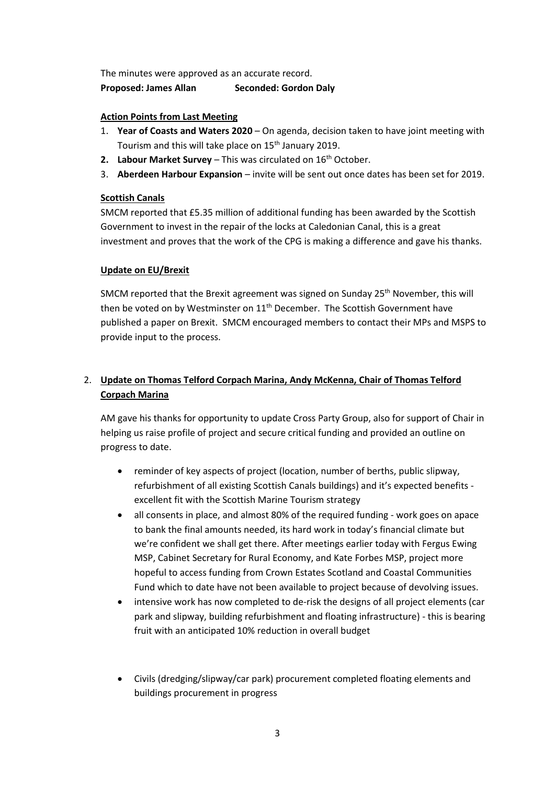The minutes were approved as an accurate record. **Proposed: James Allan Seconded: Gordon Daly**

# **Action Points from Last Meeting**

- 1. **Year of Coasts and Waters 2020** On agenda, decision taken to have joint meeting with Tourism and this will take place on 15<sup>th</sup> January 2019.
- **2.** Labour Market Survey This was circulated on 16<sup>th</sup> October.
- 3. **Aberdeen Harbour Expansion** invite will be sent out once dates has been set for 2019.

## **Scottish Canals**

SMCM reported that £5.35 million of additional funding has been awarded by the Scottish Government to invest in the repair of the locks at Caledonian Canal, this is a great investment and proves that the work of the CPG is making a difference and gave his thanks.

## **Update on EU/Brexit**

SMCM reported that the Brexit agreement was signed on Sunday 25<sup>th</sup> November, this will then be voted on by Westminster on  $11<sup>th</sup>$  December. The Scottish Government have published a paper on Brexit. SMCM encouraged members to contact their MPs and MSPS to provide input to the process.

# 2. **Update on Thomas Telford Corpach Marina, Andy McKenna, Chair of Thomas Telford Corpach Marina**

AM gave his thanks for opportunity to update Cross Party Group, also for support of Chair in helping us raise profile of project and secure critical funding and provided an outline on progress to date.

- reminder of key aspects of project (location, number of berths, public slipway, refurbishment of all existing Scottish Canals buildings) and it's expected benefits excellent fit with the Scottish Marine Tourism strategy
- all consents in place, and almost 80% of the required funding work goes on apace to bank the final amounts needed, its hard work in today's financial climate but we're confident we shall get there. After meetings earlier today with Fergus Ewing MSP, Cabinet Secretary for Rural Economy, and Kate Forbes MSP, project more hopeful to access funding from Crown Estates Scotland and Coastal Communities Fund which to date have not been available to project because of devolving issues.
- intensive work has now completed to de-risk the designs of all project elements (car park and slipway, building refurbishment and floating infrastructure) - this is bearing fruit with an anticipated 10% reduction in overall budget
- Civils (dredging/slipway/car park) procurement completed floating elements and buildings procurement in progress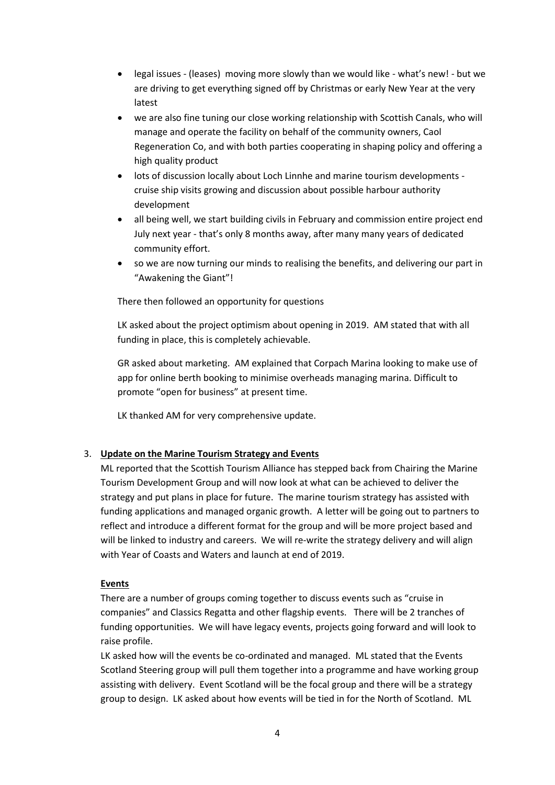- legal issues (leases) moving more slowly than we would like what's new! but we are driving to get everything signed off by Christmas or early New Year at the very latest
- we are also fine tuning our close working relationship with Scottish Canals, who will manage and operate the facility on behalf of the community owners, Caol Regeneration Co, and with both parties cooperating in shaping policy and offering a high quality product
- lots of discussion locally about Loch Linnhe and marine tourism developments cruise ship visits growing and discussion about possible harbour authority development
- all being well, we start building civils in February and commission entire project end July next year - that's only 8 months away, after many many years of dedicated community effort.
- so we are now turning our minds to realising the benefits, and delivering our part in "Awakening the Giant"!

There then followed an opportunity for questions

LK asked about the project optimism about opening in 2019. AM stated that with all funding in place, this is completely achievable.

GR asked about marketing. AM explained that Corpach Marina looking to make use of app for online berth booking to minimise overheads managing marina. Difficult to promote "open for business" at present time.

LK thanked AM for very comprehensive update.

# 3. **Update on the Marine Tourism Strategy and Events**

ML reported that the Scottish Tourism Alliance has stepped back from Chairing the Marine Tourism Development Group and will now look at what can be achieved to deliver the strategy and put plans in place for future. The marine tourism strategy has assisted with funding applications and managed organic growth. A letter will be going out to partners to reflect and introduce a different format for the group and will be more project based and will be linked to industry and careers. We will re-write the strategy delivery and will align with Year of Coasts and Waters and launch at end of 2019.

### **Events**

There are a number of groups coming together to discuss events such as "cruise in companies" and Classics Regatta and other flagship events. There will be 2 tranches of funding opportunities. We will have legacy events, projects going forward and will look to raise profile.

LK asked how will the events be co-ordinated and managed. ML stated that the Events Scotland Steering group will pull them together into a programme and have working group assisting with delivery. Event Scotland will be the focal group and there will be a strategy group to design. LK asked about how events will be tied in for the North of Scotland. ML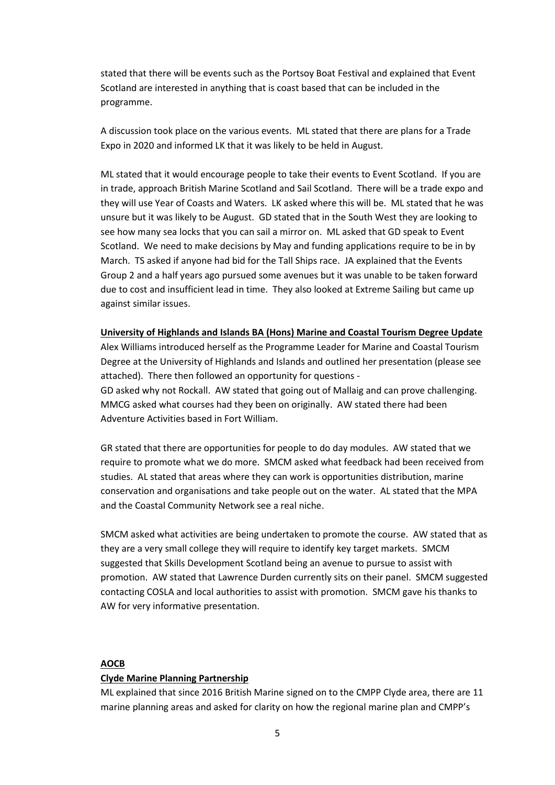stated that there will be events such as the Portsoy Boat Festival and explained that Event Scotland are interested in anything that is coast based that can be included in the programme.

A discussion took place on the various events. ML stated that there are plans for a Trade Expo in 2020 and informed LK that it was likely to be held in August.

ML stated that it would encourage people to take their events to Event Scotland. If you are in trade, approach British Marine Scotland and Sail Scotland. There will be a trade expo and they will use Year of Coasts and Waters. LK asked where this will be. ML stated that he was unsure but it was likely to be August. GD stated that in the South West they are looking to see how many sea locks that you can sail a mirror on. ML asked that GD speak to Event Scotland. We need to make decisions by May and funding applications require to be in by March. TS asked if anyone had bid for the Tall Ships race. JA explained that the Events Group 2 and a half years ago pursued some avenues but it was unable to be taken forward due to cost and insufficient lead in time. They also looked at Extreme Sailing but came up against similar issues.

**University of Highlands and Islands BA (Hons) Marine and Coastal Tourism Degree Update** Alex Williams introduced herself as the Programme Leader for Marine and Coastal Tourism Degree at the University of Highlands and Islands and outlined her presentation (please see attached). There then followed an opportunity for questions - GD asked why not Rockall. AW stated that going out of Mallaig and can prove challenging. MMCG asked what courses had they been on originally. AW stated there had been Adventure Activities based in Fort William.

GR stated that there are opportunities for people to do day modules. AW stated that we require to promote what we do more. SMCM asked what feedback had been received from studies. AL stated that areas where they can work is opportunities distribution, marine conservation and organisations and take people out on the water. AL stated that the MPA and the Coastal Community Network see a real niche.

SMCM asked what activities are being undertaken to promote the course. AW stated that as they are a very small college they will require to identify key target markets. SMCM suggested that Skills Development Scotland being an avenue to pursue to assist with promotion. AW stated that Lawrence Durden currently sits on their panel. SMCM suggested contacting COSLA and local authorities to assist with promotion. SMCM gave his thanks to AW for very informative presentation.

### **AOCB**

#### **Clyde Marine Planning Partnership**

ML explained that since 2016 British Marine signed on to the CMPP Clyde area, there are 11 marine planning areas and asked for clarity on how the regional marine plan and CMPP's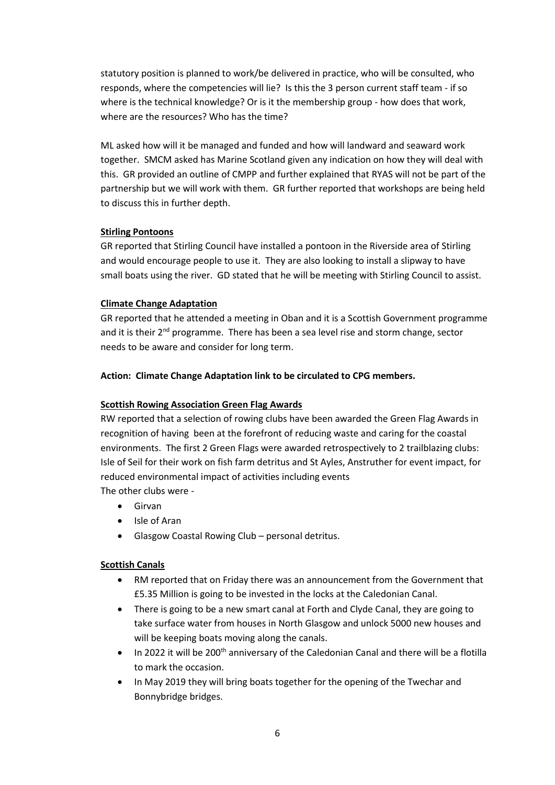statutory position is planned to work/be delivered in practice, who will be consulted, who responds, where the competencies will lie? Is this the 3 person current staff team - if so where is the technical knowledge? Or is it the membership group - how does that work, where are the resources? Who has the time?

ML asked how will it be managed and funded and how will landward and seaward work together. SMCM asked has Marine Scotland given any indication on how they will deal with this. GR provided an outline of CMPP and further explained that RYAS will not be part of the partnership but we will work with them. GR further reported that workshops are being held to discuss this in further depth.

# **Stirling Pontoons**

GR reported that Stirling Council have installed a pontoon in the Riverside area of Stirling and would encourage people to use it. They are also looking to install a slipway to have small boats using the river. GD stated that he will be meeting with Stirling Council to assist.

## **Climate Change Adaptation**

GR reported that he attended a meeting in Oban and it is a Scottish Government programme and it is their  $2<sup>nd</sup>$  programme. There has been a sea level rise and storm change, sector needs to be aware and consider for long term.

## **Action: Climate Change Adaptation link to be circulated to CPG members.**

### **Scottish Rowing Association Green Flag Awards**

RW reported that a selection of rowing clubs have been awarded the Green Flag Awards in recognition of having been at the forefront of reducing waste and caring for the coastal environments. The first 2 Green Flags were awarded retrospectively to 2 trailblazing clubs: Isle of Seil for their work on fish farm detritus and St Ayles, Anstruther for event impact, for reduced environmental impact of activities including events The other clubs were -

- Girvan
- Isle of Aran
- Glasgow Coastal Rowing Club personal detritus.

### **Scottish Canals**

- RM reported that on Friday there was an announcement from the Government that £5.35 Million is going to be invested in the locks at the Caledonian Canal.
- There is going to be a new smart canal at Forth and Clyde Canal, they are going to take surface water from houses in North Glasgow and unlock 5000 new houses and will be keeping boats moving along the canals.
- In 2022 it will be 200<sup>th</sup> anniversary of the Caledonian Canal and there will be a flotilla to mark the occasion.
- In May 2019 they will bring boats together for the opening of the Twechar and Bonnybridge bridges.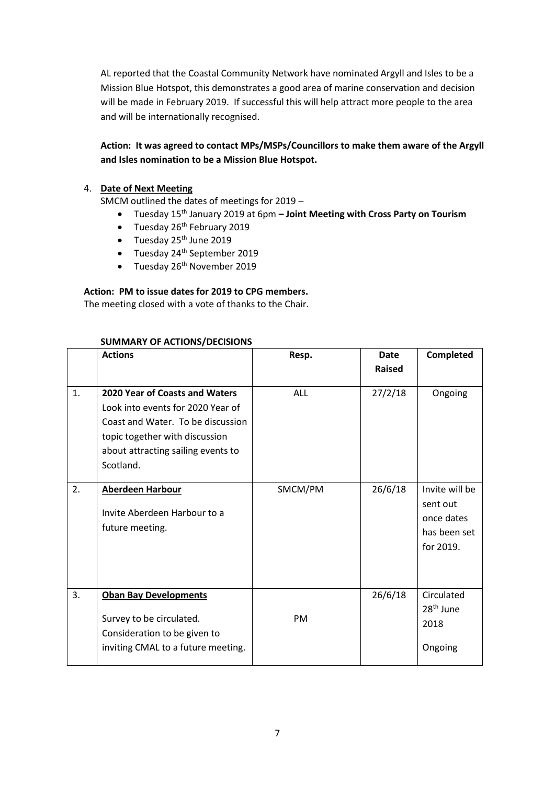AL reported that the Coastal Community Network have nominated Argyll and Isles to be a Mission Blue Hotspot, this demonstrates a good area of marine conservation and decision will be made in February 2019. If successful this will help attract more people to the area and will be internationally recognised.

# **Action: It was agreed to contact MPs/MSPs/Councillors to make them aware of the Argyll and Isles nomination to be a Mission Blue Hotspot.**

## 4. **Date of Next Meeting**

SMCM outlined the dates of meetings for 2019 –

- Tuesday 15th January 2019 at 6pm **– Joint Meeting with Cross Party on Tourism**
- $\bullet$  Tuesday 26<sup>th</sup> February 2019
- Tuesday 25<sup>th</sup> June 2019
- Tuesday 24<sup>th</sup> September 2019
- $\bullet$  Tuesday 26<sup>th</sup> November 2019

# **Action: PM to issue dates for 2019 to CPG members.**

The meeting closed with a vote of thanks to the Chair.

|    | <b>Actions</b>                                                                                                                                                                                | Resp.      | <b>Date</b>   | Completed                                                             |
|----|-----------------------------------------------------------------------------------------------------------------------------------------------------------------------------------------------|------------|---------------|-----------------------------------------------------------------------|
|    |                                                                                                                                                                                               |            | <b>Raised</b> |                                                                       |
| 1. | 2020 Year of Coasts and Waters<br>Look into events for 2020 Year of<br>Coast and Water. To be discussion<br>topic together with discussion<br>about attracting sailing events to<br>Scotland. | <b>ALL</b> | 27/2/18       | Ongoing                                                               |
| 2. | Aberdeen Harbour<br>Invite Aberdeen Harbour to a<br>future meeting.                                                                                                                           | SMCM/PM    | 26/6/18       | Invite will be<br>sent out<br>once dates<br>has been set<br>for 2019. |
| 3. | <b>Oban Bay Developments</b><br>Survey to be circulated.<br>Consideration to be given to<br>inviting CMAL to a future meeting.                                                                | <b>PM</b>  | 26/6/18       | Circulated<br>28 <sup>th</sup> June<br>2018<br>Ongoing                |

## **SUMMARY OF ACTIONS/DECISIONS**